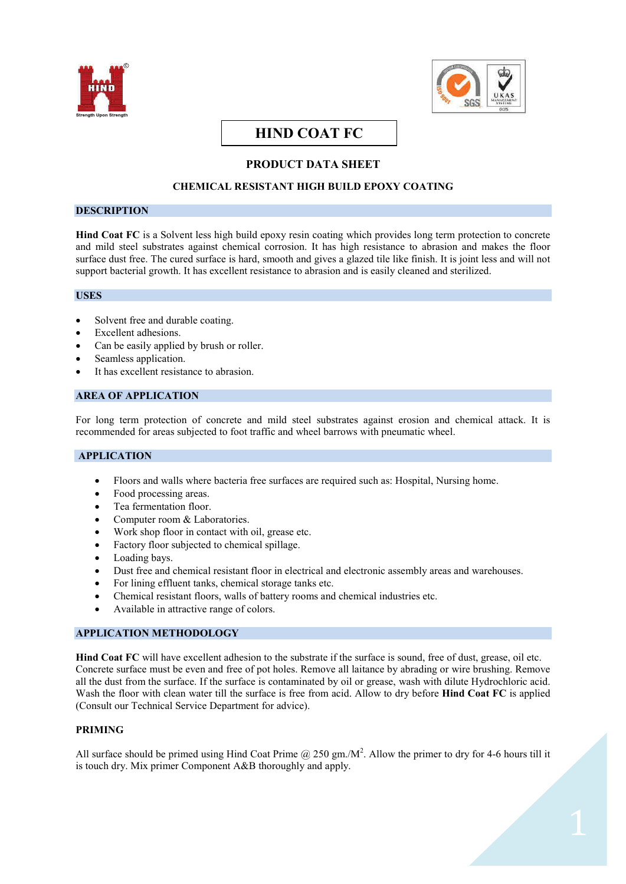



# **HIND COAT FC**

## **PRODUCT DATA SHEET**

## **CHEMICAL RESISTANT HIGH BUILD EPOXY COATING**

#### **DESCRIPTION**

**Hind Coat FC** is a Solvent less high build epoxy resin coating which provides long term protection to concrete and mild steel substrates against chemical corrosion. It has high resistance to abrasion and makes the floor surface dust free. The cured surface is hard, smooth and gives a glazed tile like finish. It is joint less and will not support bacterial growth. It has excellent resistance to abrasion and is easily cleaned and sterilized.

## **USES**

- Solvent free and durable coating.
- Excellent adhesions.
- Can be easily applied by brush or roller.
- Seamless application.
- It has excellent resistance to abrasion.

## **AREA OF APPLICATION**

For long term protection of concrete and mild steel substrates against erosion and chemical attack. It is recommended for areas subjected to foot traffic and wheel barrows with pneumatic wheel.

## **APPLICATION**

- · Floors and walls where bacteria free surfaces are required such as: Hospital, Nursing home.
- Food processing areas.
- Tea fermentation floor.
- Computer room & Laboratories.
- · Work shop floor in contact with oil, grease etc.
- Factory floor subjected to chemical spillage.
- Loading bays.
- Dust free and chemical resistant floor in electrical and electronic assembly areas and warehouses.
- · For lining effluent tanks, chemical storage tanks etc.
- Chemical resistant floors, walls of battery rooms and chemical industries etc.
- Available in attractive range of colors.

### **APPLICATION METHODOLOGY**

**Hind Coat FC** will have excellent adhesion to the substrate if the surface is sound, free of dust, grease, oil etc. Concrete surface must be even and free of pot holes. Remove all laitance by abrading or wire brushing. Remove all the dust from the surface. If the surface is contaminated by oil or grease, wash with dilute Hydrochloric acid. Wash the floor with clean water till the surface is free from acid. Allow to dry before **Hind Coat FC** is applied (Consult our Technical Service Department for advice).

### **PRIMING**

All surface should be primed using Hind Coat Prime @ 250 gm./M<sup>2</sup>. Allow the primer to dry for 4-6 hours till it is touch dry. Mix primer Component A&B thoroughly and apply.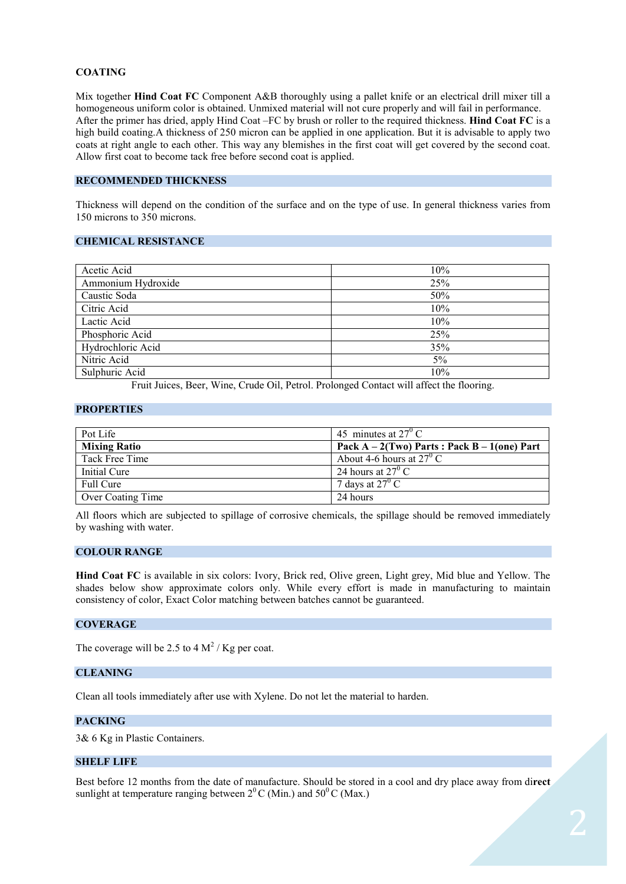## **COATING**

Mix together **Hind Coat FC** Component A&B thoroughly using a pallet knife or an electrical drill mixer till a homogeneous uniform color is obtained. Unmixed material will not cure properly and will fail in performance. After the primer has dried, apply Hind Coat –FC by brush or roller to the required thickness. **Hind Coat FC** is a high build coating.A thickness of 250 micron can be applied in one application. But it is advisable to apply two coats at right angle to each other. This way any blemishes in the first coat will get covered by the second coat. Allow first coat to become tack free before second coat is applied.

## **RECOMMENDED THICKNESS**

Thickness will depend on the condition of the surface and on the type of use. In general thickness varies from 150 microns to 350 microns.

#### **CHEMICAL RESISTANCE**

| Acetic Acid        | 10%   |
|--------------------|-------|
| Ammonium Hydroxide | 25%   |
| Caustic Soda       | 50%   |
| Citric Acid        | 10%   |
| Lactic Acid        | 10%   |
| Phosphoric Acid    | 25%   |
| Hydrochloric Acid  | 35%   |
| Nitric Acid        | $5\%$ |
| Sulphuric Acid     | 10%   |

Fruit Juices, Beer, Wine, Crude Oil, Petrol. Prolonged Contact will affect the flooring.

#### **PROPERTIES**

| Pot Life            | 45 minutes at $27^{\circ}$ C                     |
|---------------------|--------------------------------------------------|
| <b>Mixing Ratio</b> | Pack $A - 2(Tw0)$ Parts: Pack $B - 1($ one) Part |
| Tack Free Time      | About 4-6 hours at $27^{\circ}$ C                |
| Initial Cure        | 24 hours at $27^{\circ}$ C                       |
| Full Cure           | 7 days at $27^{\circ}$ C                         |
| Over Coating Time   | 24 hours                                         |
|                     |                                                  |

All floors which are subjected to spillage of corrosive chemicals, the spillage should be removed immediately by washing with water.

#### **COLOUR RANGE**

**Hind Coat FC** is available in six colors: Ivory, Brick red, Olive green, Light grey, Mid blue and Yellow. The shades below show approximate colors only. While every effort is made in manufacturing to maintain consistency of color, Exact Color matching between batches cannot be guaranteed.

#### **COVERAGE**

The coverage will be 2.5 to 4  $\mathrm{M}^2$  / Kg per coat.

## **CLEANING**

Clean all tools immediately after use with Xylene. Do not let the material to harden.

## **PACKING**

3& 6 Kg in Plastic Containers.

#### **SHELF LIFE**

Best before 12 months from the date of manufacture. Should be stored in a cool and dry place away from di**rect**  sunlight at temperature ranging between  $2^{0}$  C (Min.) and  $50^{0}$  C (Max.)